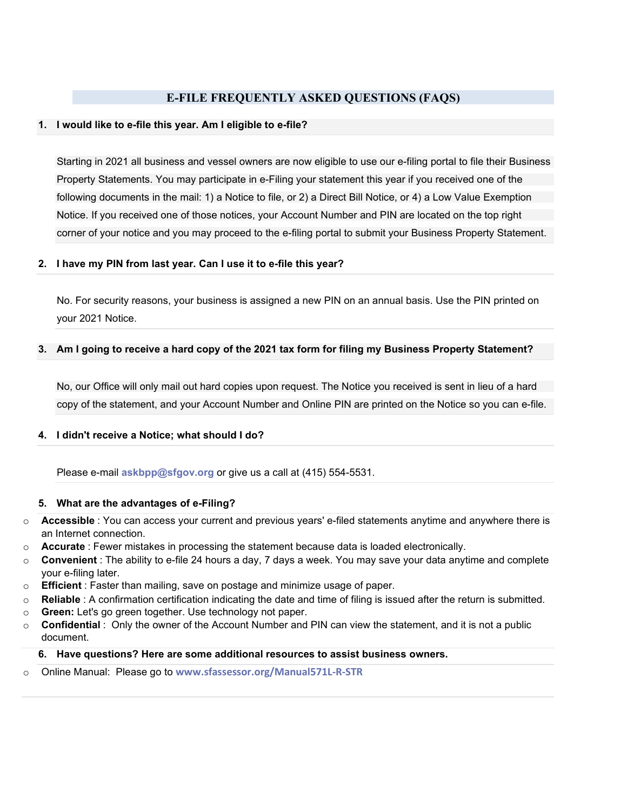# **E-FILE FREQUENTLY ASKED QUESTIONS (FAQS)**

### **1. I would like to e-file this year. Am I eligible to e-file?**

Starting in 2021 all business and vessel owners are now eligible to use our e-filing portal to file their Business Property Statements. You may participate in e-Filing your statement this year if you received one of the following documents in the mail: 1) a Notice to file, or 2) a Direct Bill Notice, or 4) a Low Value Exemption Notice. If you received one of those notices, your Account Number and PIN are located on the top right corner of your notice and you may proceed to the e-filing portal to submit your Business Property Statement.

### **2. I have my PIN from last year. Can I use it to e-file this year?**

No. For security reasons, your business is assigned a new PIN on an annual basis. Use the PIN printed on your 2021 Notice.

# **3. Am I going to receive a hard copy of the 2021 tax form for filing my Business Property Statement?**

No, our Office will only mail out hard copies upon request. The Notice you received is sent in lieu of a hard copy of the statement, and your Account Number and Online PIN are printed on the Notice so you can e-file.

### **4. I didn't receive a Notice; what should I do?**

Please e-mail **[askbpp@sfgov.org](mailto:%20askbpp@sfgov.org)** or give us a call at (415) 554-5531.

### **5. What are the advantages of e-Filing?**

- o **Accessible** : You can access your current and previous years' e-filed statements anytime and anywhere there is an Internet connection.
- o **Accurate** : Fewer mistakes in processing the statement because data is loaded electronically.
- o **Convenient** : The ability to e-file 24 hours a day, 7 days a week. You may save your data anytime and complete your e-filing later.
- o **Efficient** : Faster than mailing, save on postage and minimize usage of paper.
- o **Reliable** : A confirmation certification indicating the date and time of filing is issued after the return is submitted.
- o **Green:** Let's go green together. Use technology not paper.
- o **Confidential** : Only the owner of the Account Number and PIN can view the statement, and it is not a public document.

### **6. Have questions? Here are some additional resources to assist business owners.**

o Online Manual: Please go to **[www.sfassessor.org/Manual571L-R-STR](http://www.sfassessor.org/Manual571L)**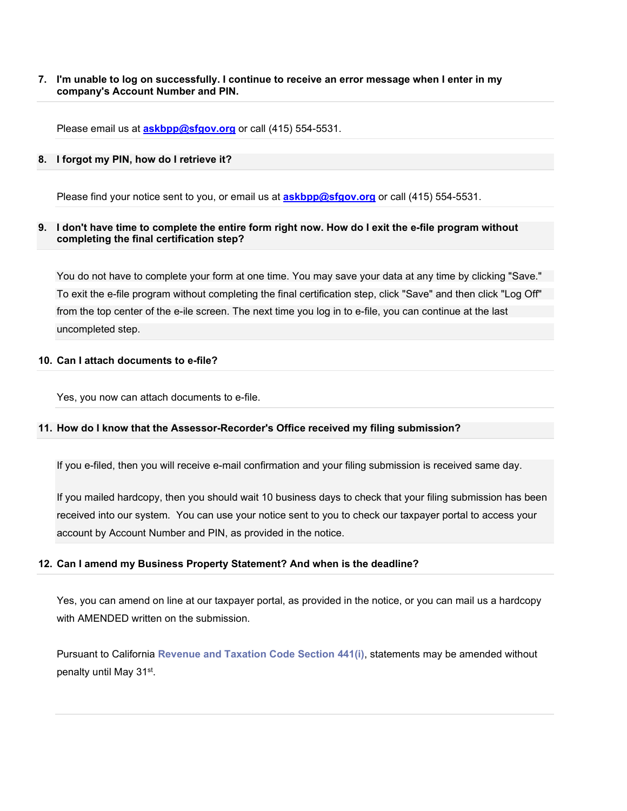# **7. I'm unable to log on successfully. I continue to receive an error message when I enter in my company's Account Number and PIN.**

Please email us at **[askbpp@sfgov.org](mailto:askbpp@sfgov.org)** or call (415) 554-5531.

### **8. I forgot my PIN, how do I retrieve it?**

Please find your notice sent to you, or email us at **[askbpp@sfgov.org](mailto:askbpp@sfgov.org)** or call (415) 554-5531.

# **9. I don't have time to complete the entire form right now. How do I exit the e-file program without completing the final certification step?**

You do not have to complete your form at one time. You may save your data at any time by clicking "Save." To exit the e-file program without completing the final certification step, click "Save" and then click "Log Off" from the top center of the e-ile screen. The next time you log in to e-file, you can continue at the last uncompleted step.

# **10. Can I attach documents to e-file?**

Yes, you now can attach documents to e-file.

### **11. How do I know that the Assessor-Recorder's Office received my filing submission?**

If you e-filed, then you will receive e-mail confirmation and your filing submission is received same day.

If you mailed hardcopy, then you should wait 10 business days to check that your filing submission has been received into our system. You can use your notice sent to you to check our taxpayer portal to access your account by Account Number and PIN, as provided in the notice.

### **12. Can I amend my Business Property Statement? And when is the deadline?**

Yes, you can amend on line at our taxpayer portal, as provided in the notice, or you can mail us a hardcopy with AMENDED written on the submission.

Pursuant to California **[Revenue and Taxation Code Section 441\(i\)](http://caselaw.lp.findlaw.com/cacodes/rtc/441-470.html)**, statements may be amended without penalty until May 31st.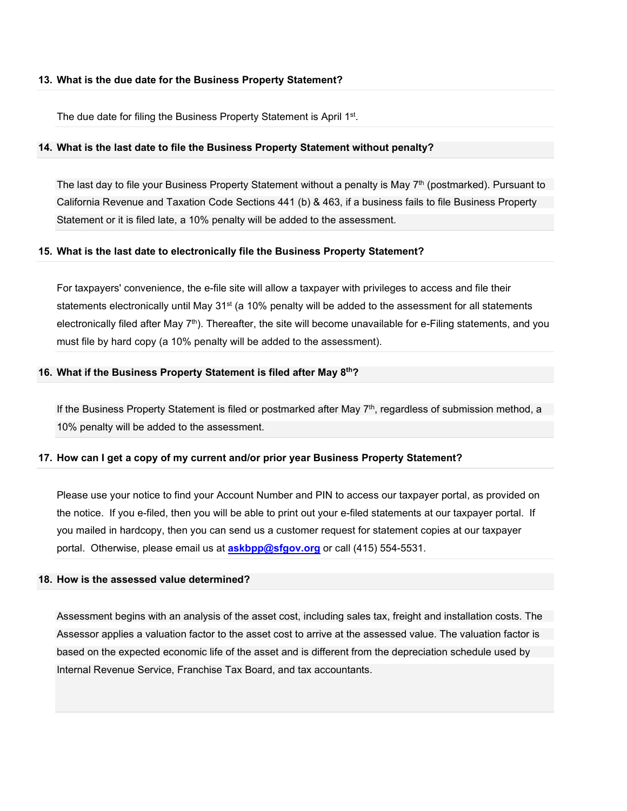### **13. What is the due date for the Business Property Statement?**

The due date for filing the Business Property Statement is April 1st.

### **14. What is the last date to file the Business Property Statement without penalty?**

The last day to file your Business Property Statement without a penalty is May 7<sup>th</sup> (postmarked). Pursuant to California Revenue and Taxation Code Sections 441 (b) & 463, if a business fails to file Business Property Statement or it is filed late, a 10% penalty will be added to the assessment.

### **15. What is the last date to electronically file the Business Property Statement?**

For taxpayers' convenience, the e-file site will allow a taxpayer with privileges to access and file their statements electronically until May 31<sup>st</sup> (a 10% penalty will be added to the assessment for all statements electronically filed after May 7<sup>th</sup>). Thereafter, the site will become unavailable for e-Filing statements, and you must file by hard copy (a 10% penalty will be added to the assessment).

### **16. What if the Business Property Statement is filed after May 8th?**

If the Business Property Statement is filed or postmarked after May 7<sup>th</sup>, regardless of submission method, a 10% penalty will be added to the assessment.

### **17. How can I get a copy of my current and/or prior year Business Property Statement?**

Please use your notice to find your Account Number and PIN to access our taxpayer portal, as provided on the notice. If you e-filed, then you will be able to print out your e-filed statements at our taxpayer portal. If you mailed in hardcopy, then you can send us a customer request for statement copies at our taxpayer portal. Otherwise, please email us at **[askbpp@sfgov.org](mailto:askbpp@sfgov.org)** or call (415) 554-5531.

### **18. How is the assessed value determined?**

Assessment begins with an analysis of the asset cost, including sales tax, freight and installation costs. The Assessor applies a valuation factor to the asset cost to arrive at the assessed value. The valuation factor is based on the expected economic life of the asset and is different from the depreciation schedule used by Internal Revenue Service, Franchise Tax Board, and tax accountants.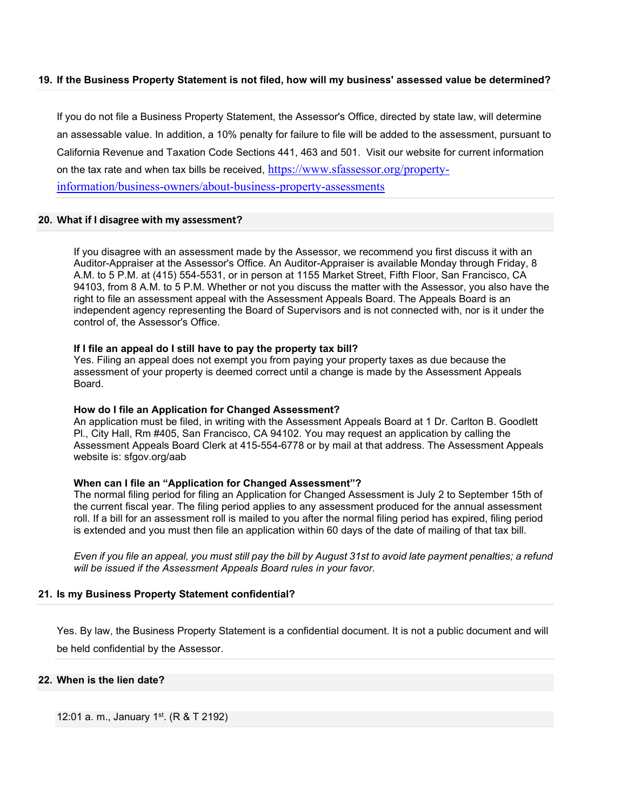# **19. If the Business Property Statement is not filed, how will my business' assessed value be determined?**

If you do not file a Business Property Statement, the Assessor's Office, directed by state law, will determine an assessable value. In addition, a 10% penalty for failure to file will be added to the assessment, pursuant to California Revenue and Taxation Code Sections 441, 463 and 501. Visit our website for current information on the tax rate and when tax bills be received, [https://www.sfassessor.org/property](https://www.sfassessor.org/property-information/business-owners/about-business-property-assessments)[information/business-owners/about-business-property-assessments](https://www.sfassessor.org/property-information/business-owners/about-business-property-assessments)

### **20. What if I disagree with my assessment?**

If you disagree with an assessment made by the Assessor, we recommend you first discuss it with an Auditor-Appraiser at the Assessor's Office. An Auditor-Appraiser is available Monday through Friday, 8 A.M. to 5 P.M. at (415) 554-5531, or in person at 1155 Market Street, Fifth Floor, San Francisco, CA 94103, from 8 A.M. to 5 P.M. Whether or not you discuss the matter with the Assessor, you also have the right to file an assessment appeal with the Assessment Appeals Board. The Appeals Board is an independent agency representing the Board of Supervisors and is not connected with, nor is it under the control of, the Assessor's Office.

### **If I file an appeal do I still have to pay the property tax bill?**

Yes. Filing an appeal does not exempt you from paying your property taxes as due because the assessment of your property is deemed correct until a change is made by the Assessment Appeals Board.

#### **How do I file an Application for Changed Assessment?**

An application must be filed, in writing with the Assessment Appeals Board at 1 Dr. Carlton B. Goodlett Pl., City Hall, Rm #405, San Francisco, CA 94102. You may request an application by calling the Assessment Appeals Board Clerk at 415-554-6778 or by mail at that address. The Assessment Appeals website is: sfgov.org/aab

#### **When can I file an "Application for Changed Assessment"?**

The normal filing period for filing an Application for Changed Assessment is July 2 to September 15th of the current fiscal year. The filing period applies to any assessment produced for the annual assessment roll. If a bill for an assessment roll is mailed to you after the normal filing period has expired, filing period is extended and you must then file an application within 60 days of the date of mailing of that tax bill.

*Even if you file an appeal, you must still pay the bill by August 31st to avoid late payment penalties; a refund will be issued if the Assessment Appeals Board rules in your favor.*

### **21. Is my Business Property Statement confidential?**

Yes. By law, the Business Property Statement is a confidential document. It is not a public document and will be held confidential by the Assessor.

#### **22. When is the lien date?**

12:01 a. m., January 1<sup>st</sup>. (R & T 2192)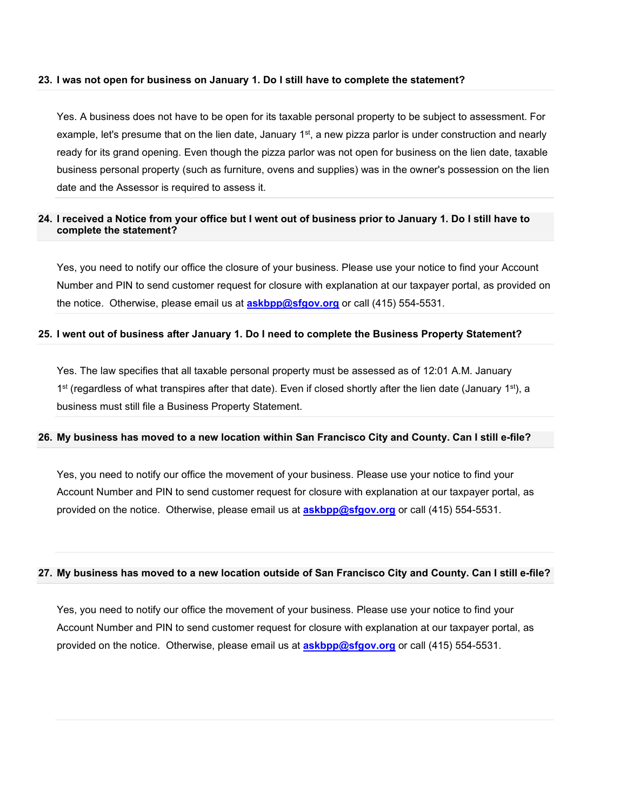### **23. I was not open for business on January 1. Do I still have to complete the statement?**

Yes. A business does not have to be open for its taxable personal property to be subject to assessment. For example, let's presume that on the lien date, January 1<sup>st</sup>, a new pizza parlor is under construction and nearly ready for its grand opening. Even though the pizza parlor was not open for business on the lien date, taxable business personal property (such as furniture, ovens and supplies) was in the owner's possession on the lien date and the Assessor is required to assess it.

# **24. I received a Notice from your office but I went out of business prior to January 1. Do I still have to complete the statement?**

Yes, you need to notify our office the closure of your business. Please use your notice to find your Account Number and PIN to send customer request for closure with explanation at our taxpayer portal, as provided on the notice. Otherwise, please email us at **[askbpp@sfgov.org](mailto:askbpp@sfgov.org)** or call (415) 554-5531.

### **25. I went out of business after January 1. Do I need to complete the Business Property Statement?**

Yes. The law specifies that all taxable personal property must be assessed as of 12:01 A.M. January 1<sup>st</sup> (regardless of what transpires after that date). Even if closed shortly after the lien date (January 1<sup>st</sup>), a business must still file a Business Property Statement.

#### **26. My business has moved to a new location within San Francisco City and County. Can I still e-file?**

Yes, you need to notify our office the movement of your business. Please use your notice to find your Account Number and PIN to send customer request for closure with explanation at our taxpayer portal, as provided on the notice. Otherwise, please email us at **[askbpp@sfgov.org](mailto:askbpp@sfgov.org)** or call (415) 554-5531.

# **27. My business has moved to a new location outside of San Francisco City and County. Can I still e-file?**

Yes, you need to notify our office the movement of your business. Please use your notice to find your Account Number and PIN to send customer request for closure with explanation at our taxpayer portal, as provided on the notice. Otherwise, please email us at **[askbpp@sfgov.org](mailto:askbpp@sfgov.org)** or call (415) 554-5531.